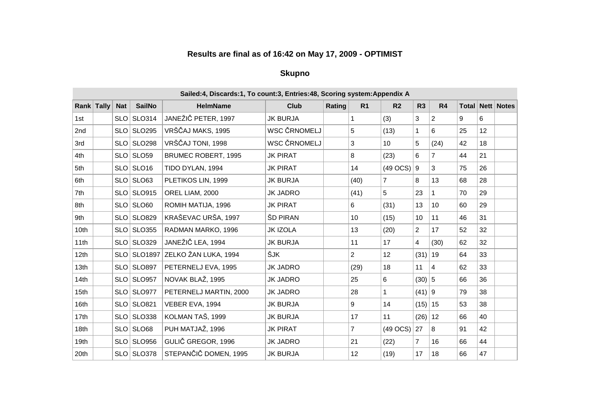## **Results are final as of 16:42 on May 17, 2009 - OPTIMIST**

#### **Skupno**

|                  |            |                    | Sailed:4, Discards:1, To count:3, Entries:48, Scoring system: Appendix A |                 |        |                |                |                |                 |    |                 |                             |
|------------------|------------|--------------------|--------------------------------------------------------------------------|-----------------|--------|----------------|----------------|----------------|-----------------|----|-----------------|-----------------------------|
| Rank Tally       | <b>Nat</b> | <b>SailNo</b>      | <b>HelmName</b>                                                          | <b>Club</b>     | Rating | R <sub>1</sub> | R <sub>2</sub> | R3             | R4              |    |                 | <b>Total   Nett   Notes</b> |
| 1st              |            | SLO SLO314         | JANEŽIČ PETER, 1997                                                      | <b>JK BURJA</b> |        | 1              | (3)            | 3              | 2               | 9  | 6               |                             |
| 2nd              |            | $SLO$ $SLO295$     | VRŠČAJ MAKS, 1995                                                        | WSC ČRNOMELJ    |        | 5              | (13)           | 1              | 6               | 25 | 12 <sub>2</sub> |                             |
| 3rd              |            | SLO SLO298         | VRŠČAJ TONI, 1998                                                        | WSC ČRNOMELJ    |        | 3              | 10             | 5              | (24)            | 42 | 18              |                             |
| 4th              |            | SLO SLO59          | BRUMEC ROBERT, 1995                                                      | <b>JK PIRAT</b> |        | 8              | (23)           | 6              | $\overline{7}$  | 44 | 21              |                             |
| 5th              |            | $SLO$ SLO16        | TIDO DYLAN, 1994                                                         | <b>JK PIRAT</b> |        | 14             | $(49$ OCS)     | ∣9             | 3               | 75 | 26              |                             |
| 6th              |            | $SLO$ SLO63        | PLETIKOS LIN, 1999                                                       | <b>JK BURJA</b> |        | (40)           | $\overline{7}$ | 8              | 13              | 68 | 28              |                             |
| 7th              |            | SLO SLO915         | OREL LIAM, 2000                                                          | <b>JK JADRO</b> |        | (41)           | 5              | 23             | 1               | 70 | 29              |                             |
| 8th              |            | SLO SLO60          | ROMIH MATIJA, 1996                                                       | <b>JK PIRAT</b> |        | 6              | (31)           | 13             | 10 <sup>°</sup> | 60 | 29              |                             |
| 9th              |            | SLO SLO829         | KRAŠEVAC URŠA, 1997                                                      | ŠD PIRAN        |        | 10             | (15)           | 10             | 11              | 46 | 31              |                             |
| 10th             |            | SLO SLO355         | RADMAN MARKO, 1996                                                       | <b>JK IZOLA</b> |        | 13             | (20)           | $\overline{2}$ | 17              | 52 | 32              |                             |
| 11th             |            | SLO SLO329         | JANEŽIČ LEA, 1994                                                        | <b>JK BURJA</b> |        | 11             | 17             | 4              | (30)            | 62 | 32              |                             |
| 12th             |            | <b>SLO SLO1897</b> | ZELKO ŽAN LUKA, 1994                                                     | ŠJK             |        | $\overline{2}$ | 12             | $(31)$ 19      |                 | 64 | 33              |                             |
| 13 <sub>th</sub> |            | SLO SLO897         | PETERNELJ EVA, 1995                                                      | <b>JK JADRO</b> |        | (29)           | 18             | 11             | $\overline{4}$  | 62 | 33              |                             |
| 14th             |            | SLO SLO957         | NOVAK BLAŽ, 1995                                                         | <b>JK JADRO</b> |        | 25             | 6              | $(30)$ 5       |                 | 66 | 36              |                             |
| 15 <sub>th</sub> |            | SLO SLO977         | PETERNELJ MARTIN, 2000                                                   | <b>JK JADRO</b> |        | 28             | $\mathbf{1}$   | $(41)$ 9       |                 | 79 | 38              |                             |
| 16th             |            | SLO SLO821         | VEBER EVA, 1994                                                          | <b>JK BURJA</b> |        | 9              | 14             | $(15)$   15    |                 | 53 | 38              |                             |
| 17th             |            | SLO SLO338         | KOLMAN TAŠ, 1999                                                         | <b>JK BURJA</b> |        | 17             | 11             | $(26)$ 12      |                 | 66 | 40              |                             |
| 18th             |            | SLO SLO68          | PUH MATJAŽ, 1996                                                         | <b>JK PIRAT</b> |        | $\overline{7}$ | (49 OCS)       | 27             | 8               | 91 | 42              |                             |
| 19th             |            | SLO SLO956         | GULIČ GREGOR, 1996                                                       | <b>JK JADRO</b> |        | 21             | (22)           | 7              | 16              | 66 | 44              |                             |
| 20th             |            | SLO SLO378         | STEPANČIČ DOMEN, 1995                                                    | <b>JK BURJA</b> |        | 12             | (19)           | 17             | 18              | 66 | 47              |                             |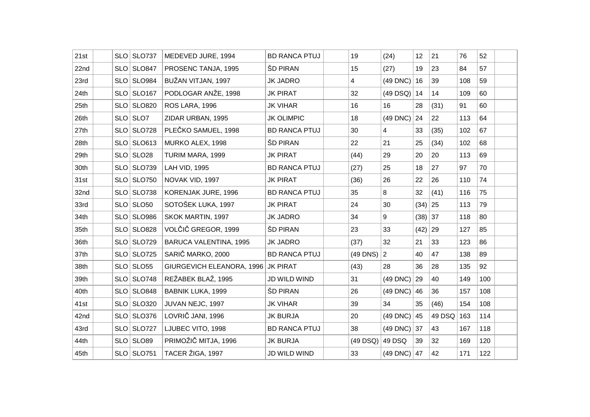| 21st | $SLO$ SLO737   | MEDEVED JURE, 1994            | <b>BD RANCA PTUJ</b> | 19              | (24)             | 12           | 21         | 76  | 52  |  |
|------|----------------|-------------------------------|----------------------|-----------------|------------------|--------------|------------|-----|-----|--|
| 22nd | $SLO$ SLO847   | PROSENC TANJA, 1995           | ŠD PIRAN             | 15              | (27)             | 19           | 23         | 84  | 57  |  |
| 23rd | SLO SLO984     | BUŽAN VITJAN, 1997            | <b>JK JADRO</b>      | 4               | (49 DNC)         | 16           | 39         | 108 | 59  |  |
| 24th | $SLO$ SLO167   | PODLOGAR ANŽE, 1998           | <b>JK PIRAT</b>      | 32              | $(49$ DSQ)       | 14           | 14         | 109 | 60  |  |
| 25th | SLO SLO820     | ROS LARA, 1996                | <b>JK VIHAR</b>      | 16              | 16               | 28           | (31)       | 91  | 60  |  |
| 26th | $SLO$ SLO7     | ZIDAR URBAN, 1995             | <b>JK OLIMPIC</b>    | 18              | (49 DNC)         | 24           | 22         | 113 | 64  |  |
| 27th | SLO SLO728     | PLEČKO SAMUEL, 1998           | <b>BD RANCA PTUJ</b> | 30              | $\overline{4}$   | 33           | (35)       | 102 | 67  |  |
| 28th | $SLO$ SLO613   | MURKO ALEX, 1998              | ŠD PIRAN             | 22              | 21               | 25           | (34)       | 102 | 68  |  |
| 29th | SLO SLO28      | TURIM MARA, 1999              | <b>JK PIRAT</b>      | (44)            | 29               | 20           | 20         | 113 | 69  |  |
| 30th | SLO SLO739     | LAH VID, 1995                 | <b>BD RANCA PTUJ</b> | (27)            | 25               | 18           | 27         | 97  | 70  |  |
| 31st | SLO SLO750     | NOVAK VID, 1997               | <b>JK PIRAT</b>      | (36)            | 26               | 22           | 26         | 110 | 74  |  |
| 32nd | SLO SLO738     | KORENJAK JURE, 1996           | <b>BD RANCA PTUJ</b> | 35              | 8                | 32           | (41)       | 116 | 75  |  |
| 33rd | $SLO$ $SLO50$  | SOTOŠEK LUKA, 1997            | <b>JK PIRAT</b>      | 24              | 30               | $(34)$ 25    |            | 113 | 79  |  |
| 34th | SLO SLO986     | SKOK MARTIN, 1997             | <b>JK JADRO</b>      | 34              | 9                | $(38)$ 37    |            | 118 | 80  |  |
| 35th | SLO SLO828     | VOLČIČ GREGOR, 1999           | ŠD PIRAN             | 23              | 33               | $(42)$ 29    |            | 127 | 85  |  |
| 36th | SLO SLO729     | <b>BARUCA VALENTINA, 1995</b> | <b>JK JADRO</b>      | (37)            | 32               | 21           | 33         | 123 | 86  |  |
| 37th | SLO SLO725     | SARIČ MARKO, 2000             | <b>BD RANCA PTUJ</b> | $(49$ DNS) $ 2$ |                  | 40           | 47         | 138 | 89  |  |
| 38th | $SLO$ SLO55    | GIURGEVICH ELEANORA, 1996     | <b>JK PIRAT</b>      | (43)            | 28               | 36           | 28         | 135 | 92  |  |
| 39th | $SLO$ SLO748   | REŽABEK BLAŽ, 1995            | JD WILD WIND         | 31              | (49 DNC)         | $ 29\rangle$ | 40         | 149 | 100 |  |
| 40th | SLO SLO848     | <b>BABNIK LUKA, 1999</b>      | ŠD PIRAN             | 26              | (49 DNC)         | 46           | 36         | 157 | 108 |  |
| 41st | $SLO$ $SLO320$ | JUVAN NEJC, 1997              | <b>JK VIHAR</b>      | 39              | 34               | 35           | (46)       | 154 | 108 |  |
| 42nd | SLO SLO376     | LOVRIČ JANI, 1996             | <b>JK BURJA</b>      | 20              | $(49$ DNC) $ 45$ |              | 49 DSQ 163 |     | 114 |  |
| 43rd | $SLO$ SLO727   | LJUBEC VITO, 1998             | <b>BD RANCA PTUJ</b> | 38              | $(49$ DNC) 37    |              | 43         | 167 | 118 |  |
| 44th | SLO SLO89      | PRIMOŽIČ MITJA, 1996          | <b>JK BURJA</b>      | $(49$ DSQ)      | 49 DSQ           | 39           | 32         | 169 | 120 |  |
| 45th | $SLO$ SLO751   | TACER ŽIGA, 1997              | JD WILD WIND         | 33              | $(49$ DNC) $ 47$ |              | 42         | 171 | 122 |  |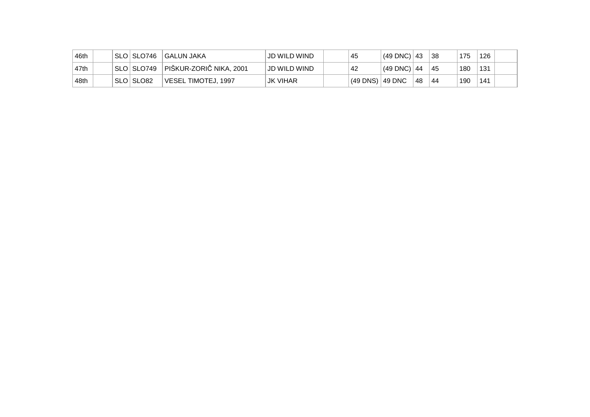| 46th | ˈSLO   SLO746             | GALUN JAKA                | JD WILD WIND | 45                | $(49$ DNC) $ 43$ |    | 38  | 175 | 126 |  |
|------|---------------------------|---------------------------|--------------|-------------------|------------------|----|-----|-----|-----|--|
| 47th | <sup>∣</sup> SLO ∣ SLO749 | ∣ PIŠKUR-ZORIČ NIKA, 2001 | JD WILD WIND | 42                | $(49$ DNC) $ 44$ |    | -45 | 180 | 131 |  |
| 48th | SLOISLO82                 | VESEL TIMOTEJ, 1997       | JK VIHAR     | (49 DNS)   49 DNC |                  | 48 | -44 | 190 | 141 |  |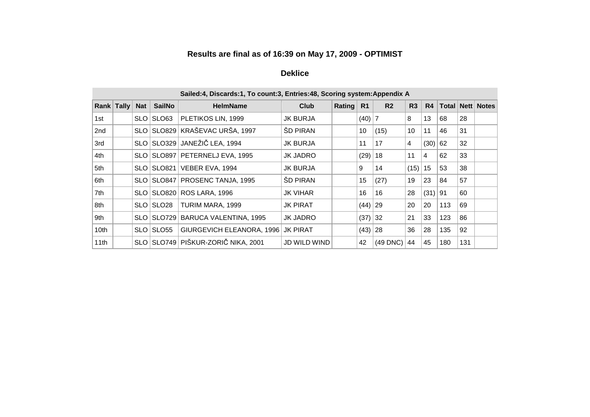### **Results are final as of 16:39 on May 17, 2009 - OPTIMIST**

## **Deklice**

|                  |            |            |               | Sailed:4, Discards:1, To count:3, Entries:48, Scoring system: Appendix A |                     |        |                |                |      |      |     |     |                         |
|------------------|------------|------------|---------------|--------------------------------------------------------------------------|---------------------|--------|----------------|----------------|------|------|-----|-----|-------------------------|
|                  | Rank Tally | <b>Nat</b> | <b>SailNo</b> | <b>HelmName</b>                                                          | Club                | Rating | R <sub>1</sub> | R <sub>2</sub> | R3   | R4   |     |     | <b>Total Nett Notes</b> |
| 1st              |            | SLO.       | SLO63         | PLETIKOS LIN, 1999                                                       | JK BURJA            |        | $(40)$ 7       |                | 8    | 13   | 68  | 28  |                         |
| 2nd              |            | SLO.       |               | SLO829 KRAŠEVAC URŠA, 1997                                               | <b>SD PIRAN</b>     |        | 10             | (15)           | 10   | 11   | 46  | 31  |                         |
| 3rd              |            | SLO        |               | SLO329   JANEŽIČ LEA, 1994                                               | JK BURJA            |        | 11             | 17             | 4    | (30) | 62  | 32  |                         |
| 4th              |            | SLO I      |               | SLO897   PETERNELJ EVA, 1995                                             | JK JADRO            |        | (29)           | ∣18            | 11   | 4    | 62  | 33  |                         |
| 5th              |            |            |               | SLO   SLO821   VEBER EVA, 1994                                           | <b>JK BURJA</b>     |        | 9              | 14             | (15) | 15   | 53  | 38  |                         |
| 6th              |            |            |               | SLO   SLO847   PROSENC TANJA, 1995                                       | <b>ŠD PIRAN</b>     |        | 15             | (27)           | 19   | 23   | 84  | 57  |                         |
| 7th              |            |            |               | SLO   SLO820   ROS LARA, 1996                                            | <b>JK VIHAR</b>     |        | 16             | 16             | 28   | (31) | 91  | 60  |                         |
| 8th              |            |            | SLO SLO28     | TURIM MARA, 1999                                                         | JK PIRAT            |        | $(44)$ 29      |                | 20   | 20   | 113 | 69  |                         |
| 9th              |            | SLO        |               | SLO729 BARUCA VALENTINA, 1995                                            | JK JADRO            |        | (37)           | 32             | 21   | 33   | 123 | 86  |                         |
| 10 <sub>th</sub> |            | SLO.       | SLO55         | GIURGEVICH ELEANORA, 1996                                                | <b>JK PIRAT</b>     |        | $(43)$ 28      |                | 36   | 28   | 135 | 92  |                         |
| 11th             |            | SLO.       |               | SLO749 PIŠKUR-ZORIČ NIKA, 2001                                           | <b>JD WILD WIND</b> |        | 42             | (49 DNC)       | 44   | 45   | 180 | 131 |                         |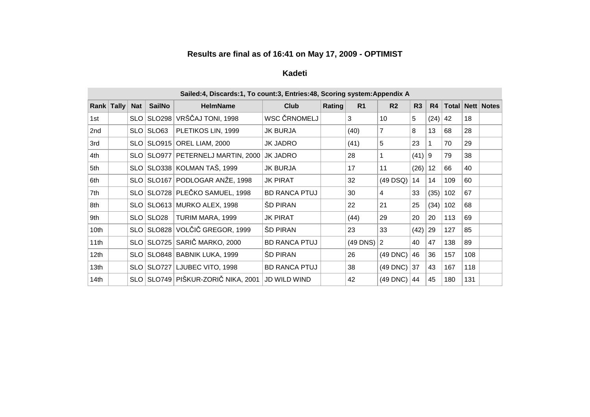### **Results are final as of 16:41 on May 17, 2009 - OPTIMIST**

# **Kadeti**

|                  | Sailed:4, Discards:1, To count:3, Entries:48, Scoring system:Appendix A |            |               |                                    |                      |        |                |                |          |      |     |     |                      |  |
|------------------|-------------------------------------------------------------------------|------------|---------------|------------------------------------|----------------------|--------|----------------|----------------|----------|------|-----|-----|----------------------|--|
|                  | Rank Tally                                                              | <b>Nat</b> | <b>SailNo</b> | <b>HelmName</b>                    | Club                 | Rating | R <sub>1</sub> | R <sub>2</sub> | R3       | R4   |     |     | Total   Nett   Notes |  |
| 1st              |                                                                         | SLO        | SLO298        | VRŠČAJ TONI, 1998                  | WSC ČRNOMELJ         |        | 3              | 10             | 5        | (24) | 42  | 18  |                      |  |
| 2nd              |                                                                         |            | SLO   SLO63   | PLETIKOS LIN, 1999                 | JK BURJA             |        | (40)           | $\overline{7}$ | 8        | 13   | 68  | 28  |                      |  |
| 3rd              |                                                                         |            |               | SLO   SLO915   OREL LIAM, 2000     | <b>JK JADRO</b>      |        | (41)           | 5              | 23       |      | 70  | 29  |                      |  |
| 4th              |                                                                         | SLO        |               | SLO977 PETERNELJ MARTIN, 2000      | <b>JK JADRO</b>      |        | 28             |                | $(41)$ 9 |      | 79  | 38  |                      |  |
| 5th              |                                                                         |            |               | SLO SLO338 KOLMAN TAŠ, 1999        | <b>JK BURJA</b>      |        | 17             | 11             | (26)     | 12   | 66  | 40  |                      |  |
| 6th              |                                                                         |            |               | SLO SLO167 PODLOGAR ANŽE, 1998     | <b>JK PIRAT</b>      |        | 32             | $(49$ DSQ)     | 14       | 14   | 109 | 60  |                      |  |
| 7th              |                                                                         |            |               | SLO SLO728 PLEČKO SAMUEL, 1998     | <b>BD RANCA PTUJ</b> |        | 30             | 4              | 33       | (35) | 102 | 67  |                      |  |
| 8th              |                                                                         |            |               | SLO   SLO613   MURKO ALEX, 1998    | <b>SD PIRAN</b>      |        | 22             | 21             | 25       | (34) | 102 | 68  |                      |  |
| 9th              |                                                                         |            | SLO SLO28     | TURIM MARA, 1999                   | JK PIRAT             |        | (44)           | 29             | 20       | 20   | 113 | 69  |                      |  |
| 10th             |                                                                         |            |               | SLO SLO828 VOLČIČ GREGOR, 1999     | <b>SD PIRAN</b>      |        | 23             | 33             | (42)     | 29   | 127 | 85  |                      |  |
| 11th             |                                                                         |            |               | SLO SLO725 SARIČ MARKO, 2000       | <b>BD RANCA PTUJ</b> |        | (49 DNS)       | 2              | 40       | 47   | 138 | 89  |                      |  |
| 12th             |                                                                         |            |               | SLO   SLO848   BABNIK LUKA, 1999   | <b>SD PIRAN</b>      |        | 26             | $(49$ DNC)     | 46       | 36   | 157 | 108 |                      |  |
| 13 <sub>th</sub> |                                                                         |            |               | SLO SLO727 LJUBEC VITO, 1998       | <b>BD RANCA PTUJ</b> |        | 38             | $(49$ DNC)     | 37       | 43   | 167 | 118 |                      |  |
| 14th             |                                                                         |            |               | SLO SLO749 PIŠKUR-ZORIČ NIKA, 2001 | <b>JD WILD WIND</b>  |        | 42             | $(49$ DNC)     | 44       | 45   | 180 | 131 |                      |  |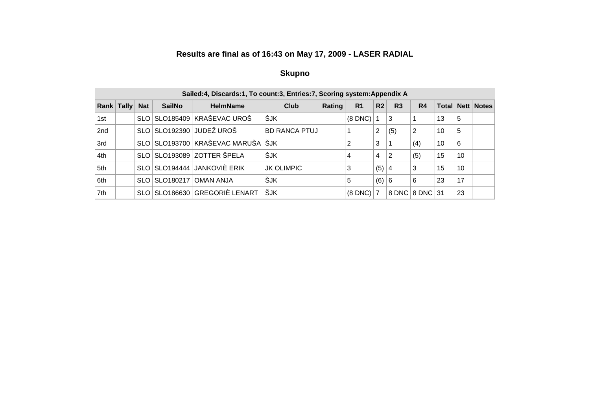## **Results are final as of 16:43 on May 17, 2009 - LASER RADIAL**

#### **Skupno**

|                 | Sailed:4, Discards:1, To count:3, Entries:7, Scoring system:Appendix A |            |                 |                                   |                      |        |                |                |                |                |              |    |            |  |
|-----------------|------------------------------------------------------------------------|------------|-----------------|-----------------------------------|----------------------|--------|----------------|----------------|----------------|----------------|--------------|----|------------|--|
| Rank            | <b>Tally</b>                                                           | <b>Nat</b> | <b>SailNo</b>   | <b>HelmName</b>                   | Club                 | Rating | R <sub>1</sub> | R <sub>2</sub> | R <sub>3</sub> | R <sub>4</sub> | <b>Total</b> |    | Nett Notes |  |
| 1st             |                                                                        |            | SLO   SLO185409 | ∣KRAŠEVAC UROŠ                    | ŠJK                  |        | $(8$ DNC $)$   |                | 3              |                | 13           | 5  |            |  |
| 2 <sub>nd</sub> |                                                                        |            |                 | SLO SLO192390 JUDEŽ UROŠ          | <b>BD RANCA PTUJ</b> |        |                | 2              | (5)            | 2              | 10           | 5  |            |  |
| 3rd             |                                                                        |            |                 | SLO SLO193700 KRAŠEVAC MARUŠA ŠJK |                      |        | 2              | 3              |                | (4)            | 10           | 6  |            |  |
| 4th             |                                                                        |            |                 | SLO SLO193089 ZOTTER ŠPELA        | ŠJK                  |        | 4              | 4              | 2              | (5)            | 15           | 10 |            |  |
| 5th             |                                                                        |            |                 | SLO SLO194444 JANKOVIÈ ERIK       | <b>JK OLIMPIC</b>    |        |                | (5)            | 4              | 3              | 15           | 10 |            |  |
| 6th             |                                                                        |            | SLO   SLO180217 | <b>OMAN ANJA</b>                  | ŠJK                  |        | 5              | (6)            | 6              | 6              | 23           | 17 |            |  |
| 7th             |                                                                        |            |                 | SLO   SLO186630   GREGORIÈ LENART | <b>SJK</b>           |        | $(8$ DNC $)$   |                |                | 8 DNC 8 DNC 31 |              | 23 |            |  |